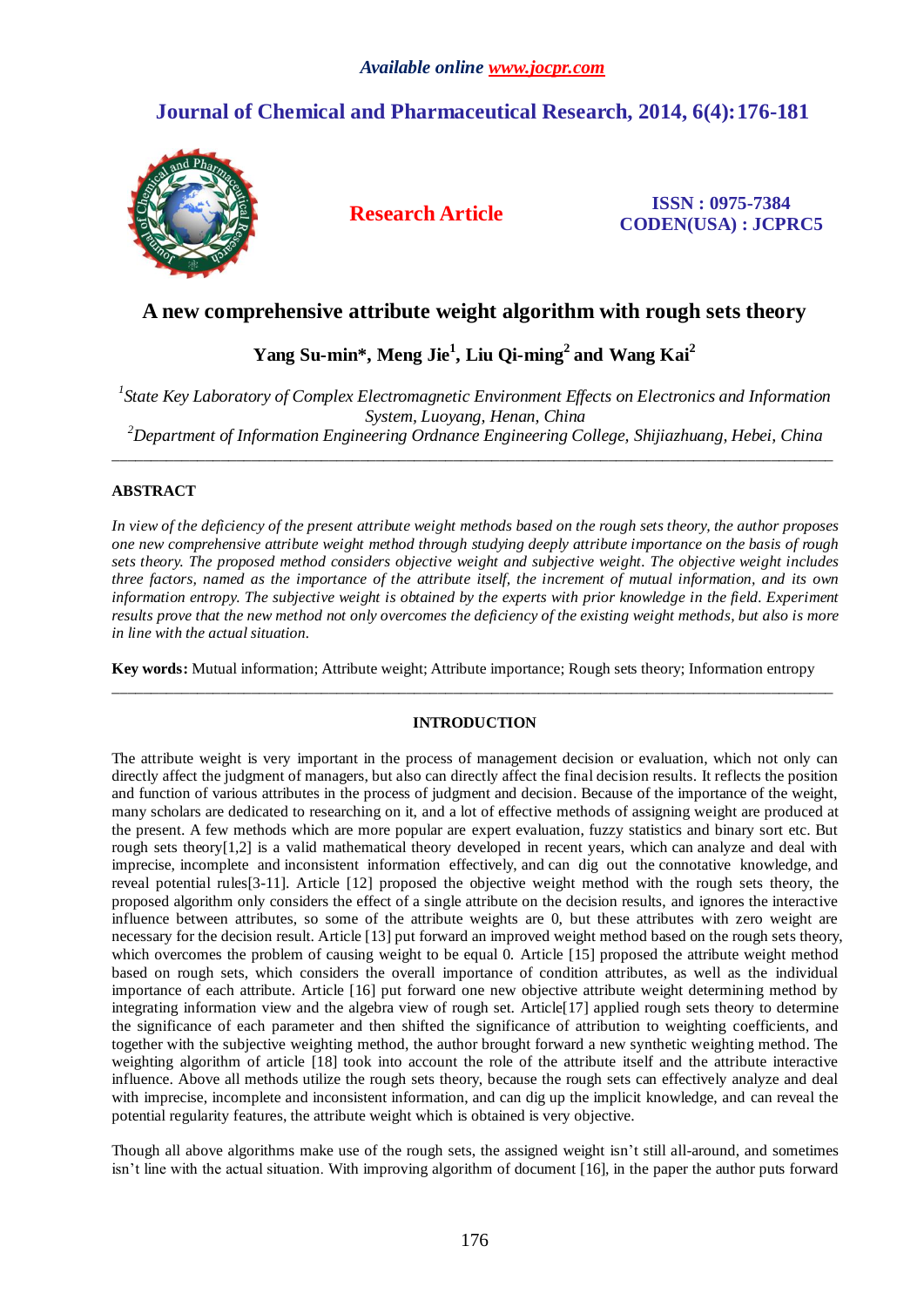# **Journal of Chemical and Pharmaceutical Research, 2014, 6(4):176-181**



**Research Article ISSN : 0975-7384 CODEN(USA) : JCPRC5**

## **A new comprehensive attribute weight algorithm with rough sets theory**

## **Yang Su-min\*, Meng Jie<sup>1</sup> , Liu Qi-ming<sup>2</sup> and Wang Kai<sup>2</sup>**

*1 State Key Laboratory of Complex Electromagnetic Environment Effects on Electronics and Information System, Luoyang, Henan, China*

*<sup>2</sup>Department of Information Engineering Ordnance Engineering College, Shijiazhuang, Hebei, China* \_\_\_\_\_\_\_\_\_\_\_\_\_\_\_\_\_\_\_\_\_\_\_\_\_\_\_\_\_\_\_\_\_\_\_\_\_\_\_\_\_\_\_\_\_\_\_\_\_\_\_\_\_\_\_\_\_\_\_\_\_\_\_\_\_\_\_\_\_\_\_\_\_\_\_\_\_\_\_\_\_\_\_\_\_\_\_\_\_\_\_\_\_

## **ABSTRACT**

*In view of the deficiency of the present attribute weight methods based on the rough sets theory, the author proposes one new comprehensive attribute weight method through studying deeply attribute importance on the basis of rough sets theory. The proposed method considers objective weight and subjective weight. The objective weight includes three factors, named as the importance of the attribute itself, the increment of mutual information, and its own information entropy. The subjective weight is obtained by the experts with prior knowledge in the field. Experiment results prove that the new method not only overcomes the deficiency of the existing weight methods, but also is more in line with the actual situation.*

**Key words:** Mutual information; Attribute weight; Attribute importance; Rough sets theory; Information entropy \_\_\_\_\_\_\_\_\_\_\_\_\_\_\_\_\_\_\_\_\_\_\_\_\_\_\_\_\_\_\_\_\_\_\_\_\_\_\_\_\_\_\_\_\_\_\_\_\_\_\_\_\_\_\_\_\_\_\_\_\_\_\_\_\_\_\_\_\_\_\_\_\_\_\_\_\_\_\_\_\_\_\_\_\_\_\_\_\_\_\_\_\_

### **INTRODUCTION**

The attribute weight is very important in the process of management decision or evaluation, which not only can directly affect the judgment of managers, but also can directly affect the final decision results. It reflects the position and function of various attributes in the process of judgment and decision. Because of the importance of the weight, many scholars are dedicated to researching on it, and a lot of effective methods of assigning weight are produced at the present. A few methods which are more popular are expert evaluation, fuzzy statistics and binary sort etc. But rough sets theory[1,2] is a valid mathematical theory developed in recent years, which can analyze and deal with imprecise, incomplete and inconsistent information effectively, and can dig out the connotative knowledge, and reveal potential rules[3-11]. Article [12] proposed the objective weight method with the rough sets theory, the proposed algorithm only considers the effect of a single attribute on the decision results, and ignores the interactive influence between attributes, so some of the attribute weights are 0, but these attributes with zero weight are necessary for the decision result. Article [13] put forward an improved weight method based on the rough sets theory, which overcomes the problem of causing weight to be equal 0. Article [15] proposed the attribute weight method based on rough sets, which considers the overall importance of condition attributes, as well as the individual importance of each attribute. Article [16] put forward one new objective attribute weight determining method by integrating information view and the algebra view of rough set. Article[17] applied rough sets theory to determine the significance of each parameter and then shifted the significance of attribution to weighting coefficients, and together with the subjective weighting method, the author brought forward a new synthetic weighting method. The weighting algorithm of article [18] took into account the role of the attribute itself and the attribute interactive influence. Above all methods utilize the rough sets theory, because the rough sets can effectively analyze and deal with imprecise, incomplete and inconsistent information, and can dig up the implicit knowledge, and can reveal the potential regularity features, the attribute weight which is obtained is very objective.

Though all above algorithms make use of the rough sets, the assigned weight isn't still all-around, and sometimes isn't line with the actual situation. With improving algorithm of document [16], in the paper the author puts forward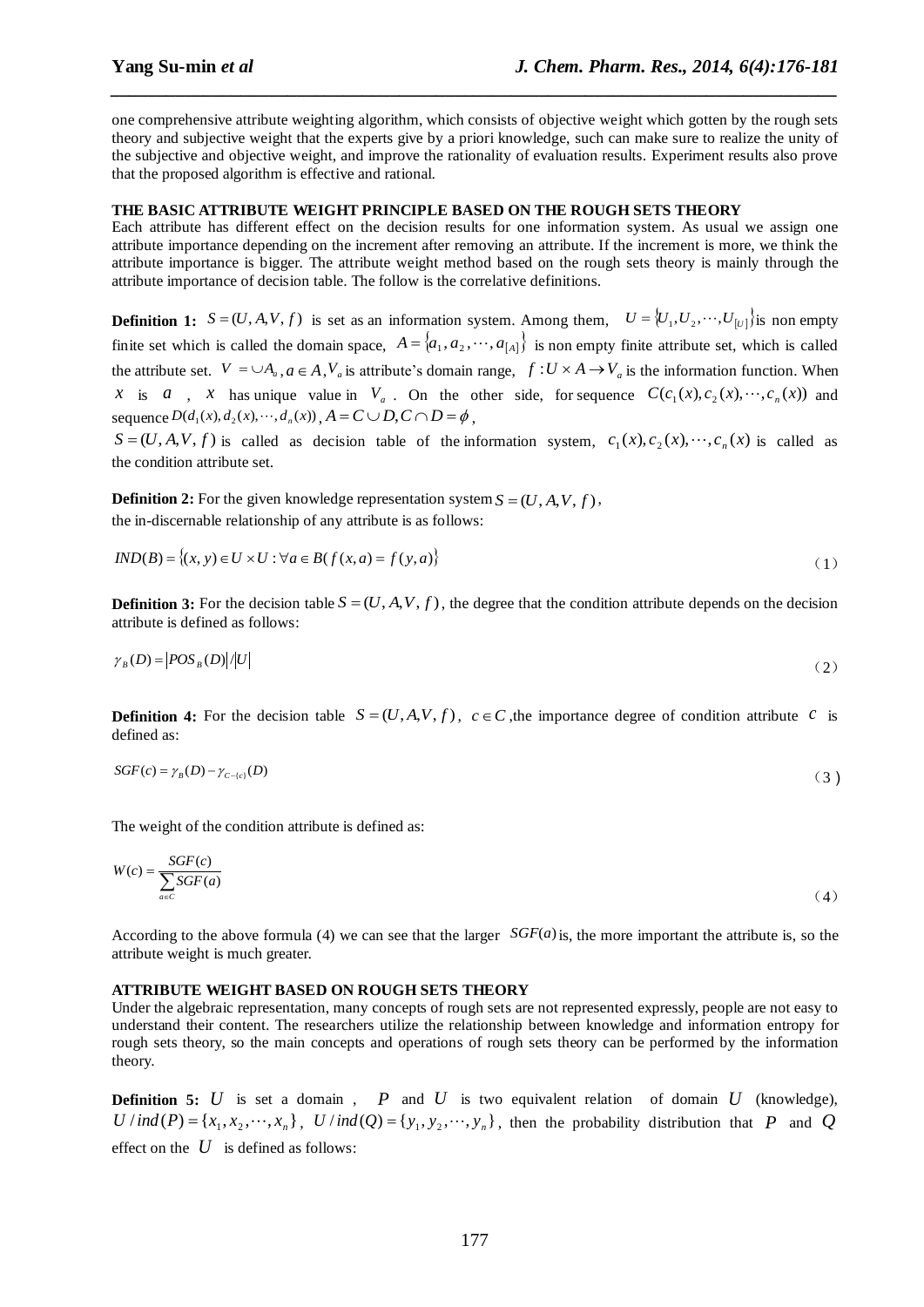one comprehensive attribute weighting algorithm, which consists of objective weight which gotten by the rough sets theory and subjective weight that the experts give by a priori knowledge, such can make sure to realize the unity of the subjective and objective weight, and improve the rationality of evaluation results. Experiment results also prove that the proposed algorithm is effective and rational.

*\_\_\_\_\_\_\_\_\_\_\_\_\_\_\_\_\_\_\_\_\_\_\_\_\_\_\_\_\_\_\_\_\_\_\_\_\_\_\_\_\_\_\_\_\_\_\_\_\_\_\_\_\_\_\_\_\_\_\_\_\_\_\_\_\_\_\_\_\_\_\_\_\_\_\_\_\_\_*

#### **THE BASIC ATTRIBUTE WEIGHT PRINCIPLE BASED ON THE ROUGH SETS THEORY**

Each attribute has different effect on the decision results for one information system. As usual we assign one attribute importance depending on the increment after removing an attribute. If the increment is more, we think the attribute importance is bigger. The attribute weight method based on the rough sets theory is mainly through the attribute importance of decision table. The follow is the correlative definitions.

**Definition 1:**  $S = (U, A, V, f)$  is set as an information system. Among them,  $U = \{U_1, U_2, \dots, U_{|U|}\}$  is non empty finite set which is called the domain space,  $A = \{a_1, a_2, \dots, a_{[A]}\}\$ is non empty finite attribute set, which is called the attribute set.  $V = \cup A_a$ ,  $a \in A$ ,  $V_a$  is attribute's domain range,  $f: U \times A \to V_a$  is the information function. When *x* is *a*, *x* has unique value in  $V_a$ . On the other side, for sequence  $C(c_1(x), c_2(x), \dots, c_n(x))$  and sequence  $D(d_1(x), d_2(x), \dots, d_n(x))$ ,  $A = C \cup D, C \cap D = \emptyset$ ,

 $S = (U, A, V, f)$  is called as decision table of the information system,  $c_1(x), c_2(x), \dots, c_n(x)$  is called as the condition attribute set.

**Definition 2:** For the given knowledge representation system  $S = (U, A, V, f)$ , the in-discernable relationship of any attribute is as follows:

$$
IND(B) = \{(x, y) \in U \times U : \forall a \in B(f(x, a) = f(y, a)\}
$$
\n
$$
(1)
$$

**Definition 3:** For the decision table  $S = (U, A, V, f)$ , the degree that the condition attribute depends on the decision attribute is defined as follows:

$$
\gamma_B(D) = \left| POS_B(D)\right| / \left|U\right| \tag{2}
$$

**Definition 4:** For the decision table  $S = (U, A, V, f)$ ,  $c \in C$ , the importance degree of condition attribute  $c$  is defined as:

$$
SGF(c) = \gamma_B(D) - \gamma_{c-(c)}(D) \tag{3}
$$

The weight of the condition attribute is defined as:

$$
W(c) = \frac{SGF(c)}{\sum_{a \in C} SGF(a)}
$$
(4)

According to the above formula (4) we can see that the larger  $SGF(a)$  is, the more important the attribute is, so the attribute weight is much greater.

### **ATTRIBUTE WEIGHT BASED ON ROUGH SETS THEORY**

Under the algebraic representation, many concepts of rough sets are not represented expressly, people are not easy to understand their content. The researchers utilize the relationship between knowledge and information entropy for rough sets theory, so the main concepts and operations of rough sets theory can be performed by the information theory.

**Definition 5:**  $U$  is set a domain,  $P$  and  $U$  is two equivalent relation of domain  $U$  (knowledge),  $U/\text{ind}(P) = \{x_1, x_2, \dots, x_n\}$ ,  $U/\text{ind}(Q) = \{y_1, y_2, \dots, y_n\}$ , then the probability distribution that P and Q effect on the  $U$  is defined as follows: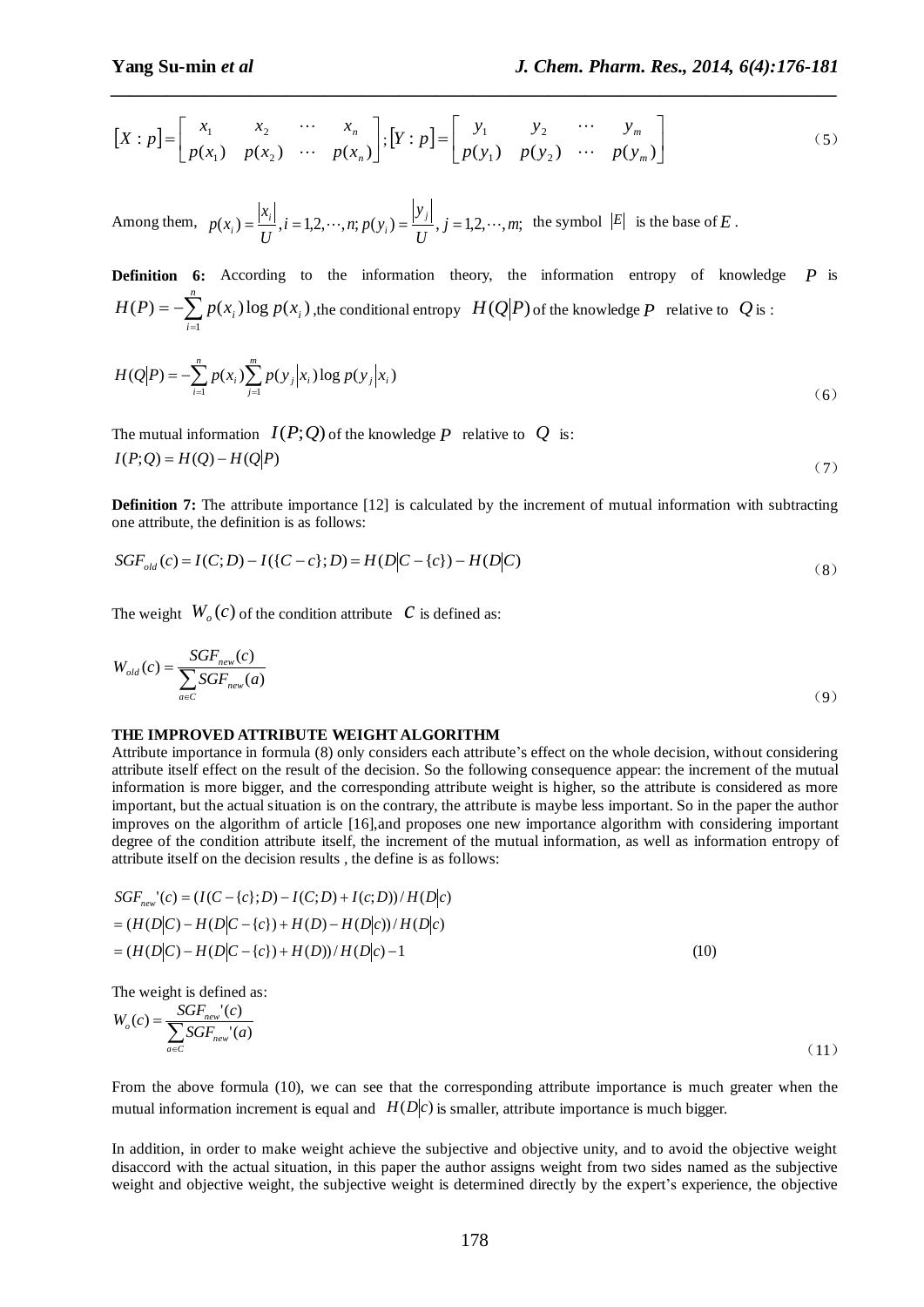$$
\begin{bmatrix} X:p \end{bmatrix} = \begin{bmatrix} x_1 & x_2 & \cdots & x_n \\ p(x_1) & p(x_2) & \cdots & p(x_n) \end{bmatrix}; \begin{bmatrix} Y:p \end{bmatrix} = \begin{bmatrix} y_1 & y_2 & \cdots & y_m \\ p(y_1) & p(y_2) & \cdots & p(y_m) \end{bmatrix}
$$
(5)

*\_\_\_\_\_\_\_\_\_\_\_\_\_\_\_\_\_\_\_\_\_\_\_\_\_\_\_\_\_\_\_\_\_\_\_\_\_\_\_\_\_\_\_\_\_\_\_\_\_\_\_\_\_\_\_\_\_\_\_\_\_\_\_\_\_\_\_\_\_\_\_\_\_\_\_\_\_\_*

Among them,  $p(x_i) = \frac{|x_i|}{r}$ ,  $i = 1,2,\dots,n; p(y_i) = \frac{|y_i|}{r}$ ,  $j = 1,2,\dots,m;$ *U y*  $i = 1, 2, \cdots, n; p(y)$ *U x*  $p(x_i) = \frac{|x_i|}{|x_i|}, i = 1, 2, \cdots, n; p(y_i) = \frac{|y_i|}{|x_i|}$ *i i*  $\hat{H}_i = \frac{|A_i|}{|H_i|}, i = 1, 2, \dots, n; p(y_i) = \frac{|B_i|}{|H_i|}, j = 1, 2, \dots, m;$  the symbol  $|E|$  is the base of *E*.

**Definition 6:** According to the information theory, the information entropy of knowledge *P* is  $= -\sum_{i=1}^{n}$ *i*  $H(P) = -\sum p(x_i) \log p(x_i)$ 1  $P(F) = -\sum_{i} p(x_i) \log p(x_i)$ , the conditional entropy  $H(Q|P)$  of the knowledge P relative to Q is :

$$
H(Q|P) = -\sum_{i=1}^{n} p(x_i) \sum_{j=1}^{m} p(y_j | x_i) \log p(y_j | x_i)
$$
 (6)

The mutual information  $I(P;Q)$  of the knowledge P relative to  $|Q|$  is:  $I(P;Q) = H(Q) - H(Q|P)$ (7)

**Definition 7:** The attribute importance [12] is calculated by the increment of mutual information with subtracting one attribute, the definition is as follows:

$$
SGF_{old}(c) = I(C;D) - I({C-c};D) = H(D|C - {c}) - H(D|C)
$$
\n(8)

The weight  $W_o(c)$  of the condition attribute  $c$  is defined as:

$$
W_{old}(c) = \frac{SGF_{new}(c)}{\sum_{a \in C}SGF_{new}(a)}
$$
(9)

#### **THE IMPROVED ATTRIBUTE WEIGHT ALGORITHM**

[X :  $p$ ] =  $\begin{bmatrix} p_1 & p_2 \\ p(x_1) & p(x_2) \end{bmatrix}$  ...  $p(x_n) = \begin{bmatrix} x_1 \\ p(x_2) \end{bmatrix}$  ...  $p(x_n) = \begin{bmatrix} y_1 \\ y_2 \end{bmatrix}$ <br>
Among them,  $p(x_i) = \frac{|x_i|}{U}$ ,  $i = 1, 2, \dots, n; p(y_i) = \frac{|y_i|}{U}$ ,  $j = 1, 2$ ,<br>
Definition 6: According to the inform Attribute importance in formula (8) only considers each attribute's effect on the whole decision, without considering attribute itself effect on the result of the decision. So the following consequence appear: the increment of the mutual information is more bigger, and the corresponding attribute weight is higher, so the attribute is considered as more important, but the actual situation is on the contrary, the attribute is maybe less important. So in the paper the author improves on the algorithm of article [16],and proposes one new importance algorithm with considering important degree of the condition attribute itself, the increment of the mutual information, as well as information entropy of attribute itself on the decision results , the define is as follows:

$$
SGF_{new}^{\cdot}(c) = (I(C - \{c\}; D) - I(C; D) + I(c; D)) / H(D|c)
$$
  
= (H(D|C) – H(D|C - \{c\}) + H(D) – H(D|c)) / H(D|c)  
= (H(D|C) – H(D|C - \{c\}) + H(D)) / H(D|c) – 1 (10)

The weight is defined as:

$$
W_o(c) = \frac{SGF_{new}(c)}{\sum_{a \in C}SGF_{new}(a)}
$$
\n(11)

From the above formula (10), we can see that the corresponding attribute importance is much greater when the mutual information increment is equal and  $H(D|c)$  is smaller, attribute importance is much bigger.

In addition, in order to make weight achieve the subjective and objective unity, and to avoid the objective weight disaccord with the actual situation, in this paper the author assigns weight from two sides named as the subjective weight and objective weight, the subjective weight is determined directly by the expert's experience, the objective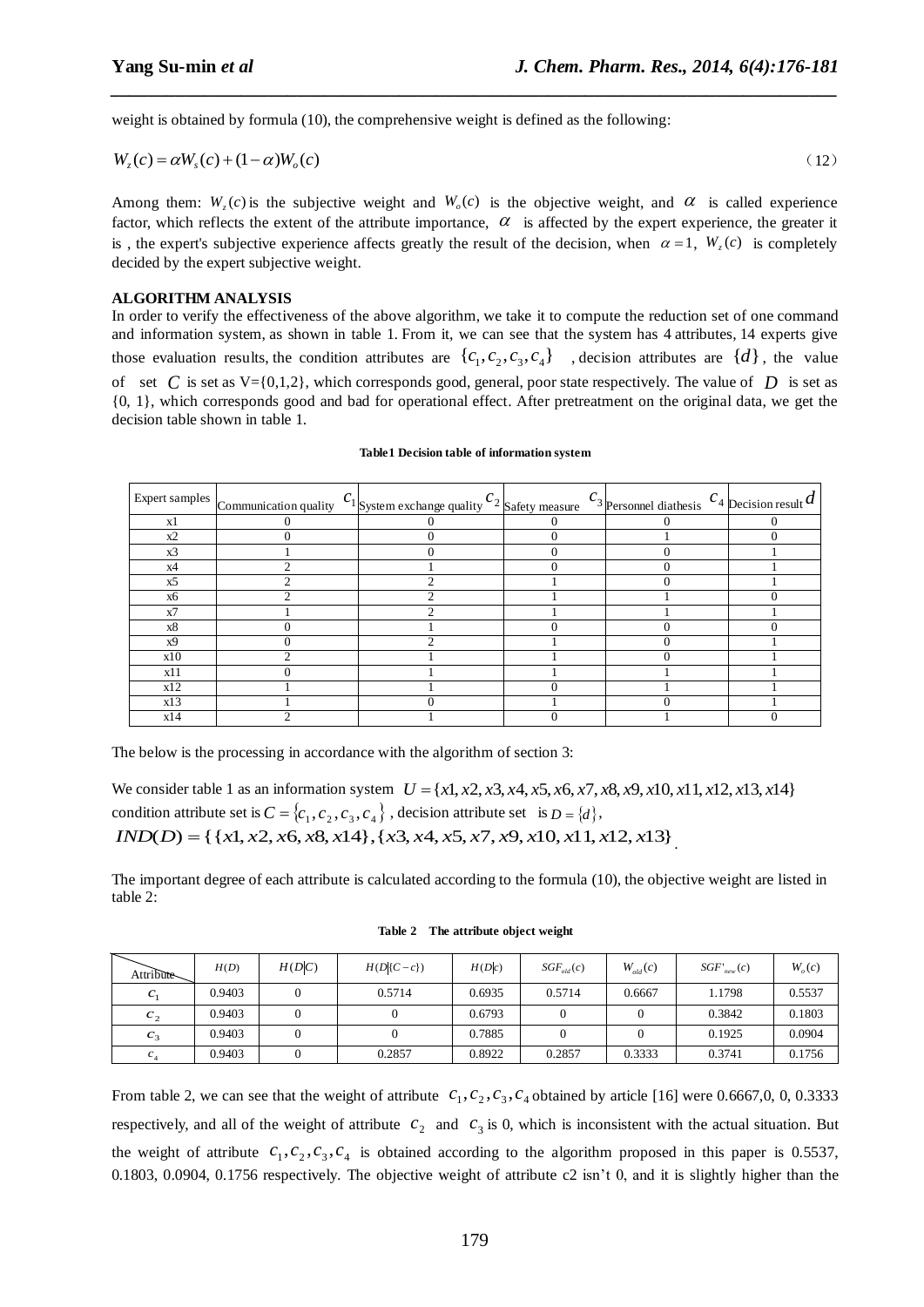weight is obtained by formula (10), the comprehensive weight is defined as the following:

$$
W_z(c) = \alpha W_s(c) + (1 - \alpha)W_o(c)
$$
\n<sup>(12)</sup>

*\_\_\_\_\_\_\_\_\_\_\_\_\_\_\_\_\_\_\_\_\_\_\_\_\_\_\_\_\_\_\_\_\_\_\_\_\_\_\_\_\_\_\_\_\_\_\_\_\_\_\_\_\_\_\_\_\_\_\_\_\_\_\_\_\_\_\_\_\_\_\_\_\_\_\_\_\_\_*

Among them:  $W_z(c)$  is the subjective weight and  $W_o(c)$  is the objective weight, and  $\alpha$  is called experience factor, which reflects the extent of the attribute importance,  $\alpha$  is affected by the expert experience, the greater it is, the expert's subjective experience affects greatly the result of the decision, when  $\alpha = 1$ ,  $W_z(c)$  is completely decided by the expert subjective weight.

#### **ALGORITHM ANALYSIS**

In order to verify the effectiveness of the above algorithm, we take it to compute the reduction set of one command and information system, as shown in table 1. From it, we can see that the system has 4 attributes, 14 experts give those evaluation results, the condition attributes are  $\{c_1, c_2, c_3, c_4\}$ , decision attributes are  $\{d\}$ , the value of set C is set as  $V = \{0,1,2\}$ , which corresponds good, general, poor state respectively. The value of D is set as {0, 1}, which corresponds good and bad for operational effect. After pretreatment on the original data, we get the decision table shown in table 1.

|           | Expert samples $\Big $ Communication quality $c_1$ System exchange quality $c_2$ Safety measure | $c_3$ Personnel diathesis $c_4$ Decision result d |  |
|-----------|-------------------------------------------------------------------------------------------------|---------------------------------------------------|--|
| x1        |                                                                                                 |                                                   |  |
| x2        |                                                                                                 |                                                   |  |
| x3        |                                                                                                 |                                                   |  |
| x4        |                                                                                                 |                                                   |  |
| x5        | ◠                                                                                               |                                                   |  |
| <b>x6</b> |                                                                                                 |                                                   |  |
| x7        |                                                                                                 |                                                   |  |
| x8        |                                                                                                 |                                                   |  |
| x9        |                                                                                                 |                                                   |  |
| x10       |                                                                                                 |                                                   |  |
| x11       |                                                                                                 |                                                   |  |
| x12       |                                                                                                 |                                                   |  |
| x13       |                                                                                                 |                                                   |  |
| x14       |                                                                                                 |                                                   |  |

#### **Table1 Decision table of information system**

The below is the processing in accordance with the algorithm of section 3:

We consider table 1 as an information system  $U = \{x1, x2, x3, x4, x5, x6, x7, x8, x9, x10, x11, x12, x13, x14\}$ condition attribute set is  $C = \{c_1, c_2, c_3, c_4\}$ , decision attribute set is  $D = \{d\}$ ,  $IND(D) = \{ \{x1, x2, x6, x8, x14\}, \{x3, x4, x5, x7, x9, x10, x11, x12, x13\} \}$ 

The important degree of each attribute is calculated according to the formula (10), the objective weight are listed in table 2:

| Attribute       | H(D)   | H(D C) | $H(D C-c)$ | H(D c) | $SGF_{old}(c)$ | $W_{old}(c)$ | $SGF'_{new}(c)$ | $W_{\alpha}(c)$ |
|-----------------|--------|--------|------------|--------|----------------|--------------|-----------------|-----------------|
| $\mathcal{C}_1$ | 0.9403 |        | 0.5714     | 0.6935 | 0.5714         | 0.6667       | 1.1798          | 0.5537          |
| c <sub>2</sub>  | 0.9403 |        |            | 0.6793 |                |              | 0.3842          | 0.1803          |
| $c_3$           | 0.9403 |        |            | 0.7885 |                |              | 0.1925          | 0.0904          |
| $c_{4}$         | 0.9403 |        | 0.2857     | 0.8922 | 0.2857         | 0.3333       | 0.3741          | 0.1756          |

**Table 2 The attribute object weight**

From table 2, we can see that the weight of attribute  $c_1$ ,  $c_2$ ,  $c_3$ ,  $c_4$  obtained by article [16] were 0.6667,0, 0, 0.3333 respectively, and all of the weight of attribute  $c_2$  and  $c_3$  is 0, which is inconsistent with the actual situation. But the weight of attribute  $c_1, c_2, c_3, c_4$  is obtained according to the algorithm proposed in this paper is 0.5537, 0.1803, 0.0904, 0.1756 respectively. The objective weight of attribute  $c2 \text{ isn't } 0$ , and it is slightly higher than the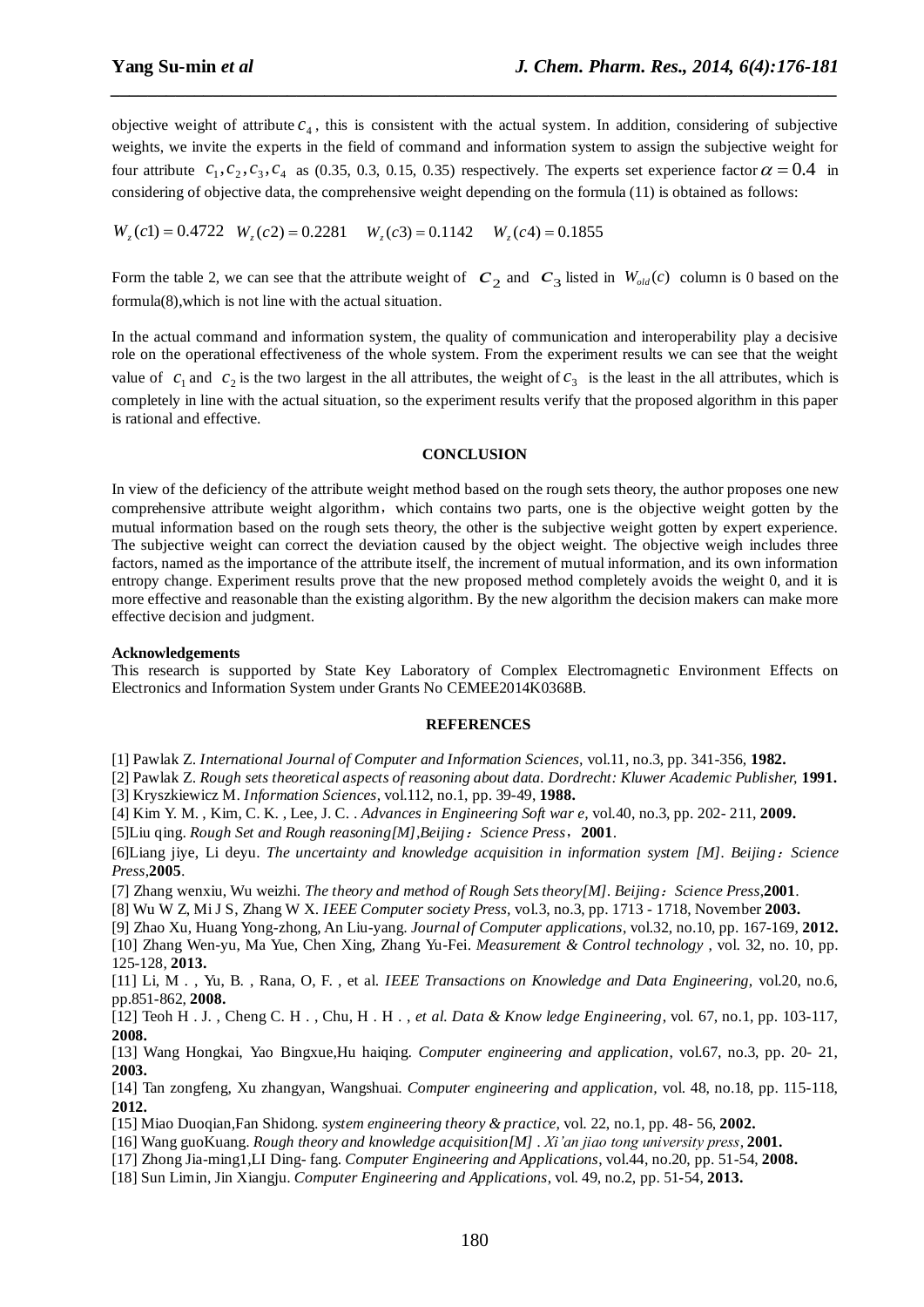objective weight of attribute  $c_4$ , this is consistent with the actual system. In addition, considering of subjective weights, we invite the experts in the field of command and information system to assign the subjective weight for four attribute  $c_1, c_2, c_3, c_4$  as (0.35, 0.3, 0.15, 0.35) respectively. The experts set experience factor  $\alpha = 0.4$  in considering of objective data, the comprehensive weight depending on the formula (11) is obtained as follows:

*\_\_\_\_\_\_\_\_\_\_\_\_\_\_\_\_\_\_\_\_\_\_\_\_\_\_\_\_\_\_\_\_\_\_\_\_\_\_\_\_\_\_\_\_\_\_\_\_\_\_\_\_\_\_\_\_\_\_\_\_\_\_\_\_\_\_\_\_\_\_\_\_\_\_\_\_\_\_*

 $W_z(c1) = 0.4722 \quad W_z(c2) = 0.2281 \quad W_z(c3) = 0.1142 \quad W_z(c4) = 0.1855$ 

Form the table 2, we can see that the attribute weight of  $c_2$  and  $c_3$  listed in  $W_{old}(c)$  column is 0 based on the formula(8),which is not line with the actual situation.

In the actual command and information system, the quality of communication and interoperability play a decisive role on the operational effectiveness of the whole system. From the experiment results we can see that the weight value of  $c_1$  and  $c_2$  is the two largest in the all attributes, the weight of  $c_3$  is the least in the all attributes, which is completely in line with the actual situation, so the experiment results verify that the proposed algorithm in this paper is rational and effective.

#### **CONCLUSION**

In view of the deficiency of the attribute weight method based on the rough sets theory, the author proposes one new comprehensive attribute weight algorithm, which contains two parts, one is the objective weight gotten by the mutual information based on the rough sets theory, the other is the subjective weight gotten by expert experience. The subjective weight can correct the deviation caused by the object weight. The objective weigh includes three factors, named as the importance of the attribute itself, the increment of mutual information, and its own information entropy change. Experiment results prove that the new proposed method completely avoids the weight 0, and it is more effective and reasonable than the existing algorithm. By the new algorithm the decision makers can make more effective decision and judgment.

#### **Acknowledgements**

This research is supported by State Key Laboratory of Complex Electromagnetic Environment Effects on Electronics and Information System under Grants No CEMEE2014K0368B.

#### **REFERENCES**

[1] Pawlak Z. *International Journal of Computer and Information Sciences,* vol.11, no.3, pp. 341-356, **1982.**

[2] Pawlak Z. *Rough sets theoretical aspects of reasoning about data. Dordrecht: Kluwer Academic Publisher,* **1991.** [3] Kryszkiewicz M. *Information Sciences*, vol.112, no.1, pp. 39-49, **1988.**

[4] Kim Y. M. , Kim, C. K. , Lee, J. C. . *Advances in Engineering Soft war e,* vol.40, no.3, pp. 202- 211, **2009.**

[5]Liu qing. *Rough Set and Rough reasoning[M],Beijing*:*Science Press*,**2001**.

[6]Liang jiye, Li deyu. *The uncertainty and knowledge acquisition in information system [M]. Beijing*:*Science Press*,**2005**.

[7] Zhang wenxiu, Wu weizhi. *The theory and method of Rough Sets theory[M]. Beijing*:*Science Press*,**2001**.

[8] Wu W Z, Mi J S, Zhang W X. *IEEE Computer society Press,* vol.3, no.3, pp. 1713 - 1718, November **2003.**

[9] Zhao Xu, Huang Yong-zhong, An Liu-yang. *Journal of Computer applications*, vol.32, no.10, pp. 167-169, **2012.**

[10] Zhang Wen-yu, Ma Yue, Chen Xing, Zhang Yu-Fei. *Measurement & Control technology* , vol. 32, no. 10, pp. 125-128, **2013.**

[11] Li, M . , Yu, B. , Rana, O, F. , et al. *IEEE Transactions on Knowledge and Data Engineering,* vol.20, no.6, pp.851-862, **2008.**

[12] Teoh H . J. , Cheng C. H . , Chu, H . H . , *et al. Data & Know ledge Engineering*, vol. 67, no.1, pp. 103-117, **2008.**

[13] Wang Hongkai, Yao Bingxue,Hu haiqing. *Computer engineering and application*, vol.67, no.3, pp. 20- 21, **2003.**

[14] Tan zongfeng, Xu zhangyan, Wangshuai. *Computer engineering and application,* vol. 48, no.18, pp. 115-118, **2012.**

[15] Miao Duoqian,Fan Shidong. *system engineering theory & practice,* vol. 22, no.1, pp. 48- 56, **2002.**

[16] Wang guoKuang. *Rough theory and knowledge acquisition[M] . Xi'an jiao tong university press,* **2001.**

[17] Zhong Jia-ming1,LI Ding- fang. *Computer Engineering and Applications*, vol.44, no.20, pp. 51-54, **2008.**

[18] Sun Limin, Jin Xiangju. *[Computer Engineering and Applications](http://c.wanfangdata.com.cn/Periodical-jsjgcyyy.aspx)*, vol. 49, no.2, pp. 51-54, **2013.**